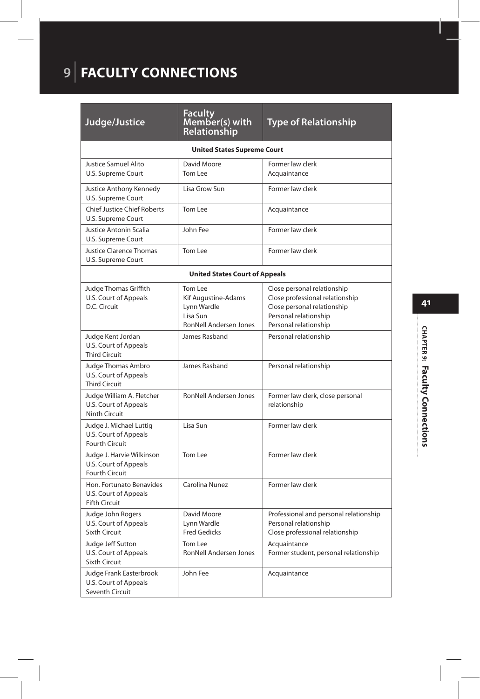## **9** | **FACULTY CONNECTIONS**

| Judge/Justice                                                                      | <b>Faculty</b><br>Member(s) with<br>Relationship                                           | <b>Type of Relationship</b>                                                                                                                     |  |  |  |
|------------------------------------------------------------------------------------|--------------------------------------------------------------------------------------------|-------------------------------------------------------------------------------------------------------------------------------------------------|--|--|--|
| <b>United States Supreme Court</b>                                                 |                                                                                            |                                                                                                                                                 |  |  |  |
| <b>Justice Samuel Alito</b><br>U.S. Supreme Court                                  | David Moore<br>Tom Lee                                                                     | Former law clerk<br>Acquaintance                                                                                                                |  |  |  |
| Justice Anthony Kennedy<br>U.S. Supreme Court                                      | Lisa Grow Sun                                                                              | Former law clerk                                                                                                                                |  |  |  |
| <b>Chief Justice Chief Roberts</b><br>U.S. Supreme Court                           | Tom Lee                                                                                    | Acquaintance                                                                                                                                    |  |  |  |
| Justice Antonin Scalia<br>U.S. Supreme Court                                       | John Fee                                                                                   | Former law clerk                                                                                                                                |  |  |  |
| <b>Justice Clarence Thomas</b><br>U.S. Supreme Court                               | Tom Lee                                                                                    | Former law clerk                                                                                                                                |  |  |  |
| <b>United States Court of Appeals</b>                                              |                                                                                            |                                                                                                                                                 |  |  |  |
| Judge Thomas Griffith<br>U.S. Court of Appeals<br>D.C. Circuit                     | Tom Lee<br>Kif Augustine-Adams<br>Lynn Wardle<br>Lisa Sun<br><b>RonNell Andersen Jones</b> | Close personal relationship<br>Close professional relationship<br>Close personal relationship<br>Personal relationship<br>Personal relationship |  |  |  |
| Judge Kent Jordan<br>U.S. Court of Appeals<br><b>Third Circuit</b>                 | James Rasband                                                                              | Personal relationship                                                                                                                           |  |  |  |
| Judge Thomas Ambro<br>U.S. Court of Appeals<br><b>Third Circuit</b>                | James Rasband                                                                              | Personal relationship                                                                                                                           |  |  |  |
| Judge William A. Fletcher<br>U.S. Court of Appeals<br>Ninth Circuit                | RonNell Andersen Jones                                                                     | Former law clerk, close personal<br>relationship                                                                                                |  |  |  |
| Judge J. Michael Luttig<br>U.S. Court of Appeals<br><b>Fourth Circuit</b>          | Lisa Sun                                                                                   | Former law clerk                                                                                                                                |  |  |  |
| Judge J. Harvie Wilkinson<br><b>U.S. Court of Appeals</b><br><b>Fourth Circuit</b> | Tom Lee                                                                                    | Former law clerk                                                                                                                                |  |  |  |
| Hon. Fortunato Benavides<br>U.S. Court of Appeals<br><b>Fifth Circuit</b>          | Carolina Nunez                                                                             | Former law clerk                                                                                                                                |  |  |  |
| Judge John Rogers<br>U.S. Court of Appeals<br><b>Sixth Circuit</b>                 | David Moore<br>Lynn Wardle<br><b>Fred Gedicks</b>                                          | Professional and personal relationship<br>Personal relationship<br>Close professional relationship                                              |  |  |  |
| Judge Jeff Sutton<br>U.S. Court of Appeals<br><b>Sixth Circuit</b>                 | Tom Lee<br>RonNell Andersen Jones                                                          | Acquaintance<br>Former student, personal relationship                                                                                           |  |  |  |
| Judge Frank Easterbrook<br><b>U.S. Court of Appeals</b><br>Seventh Circuit         | John Fee                                                                                   | Acquaintance                                                                                                                                    |  |  |  |

## CHAPTER 9: Faculty Connections **CHAPTER 9: Faculty Connections**

**41**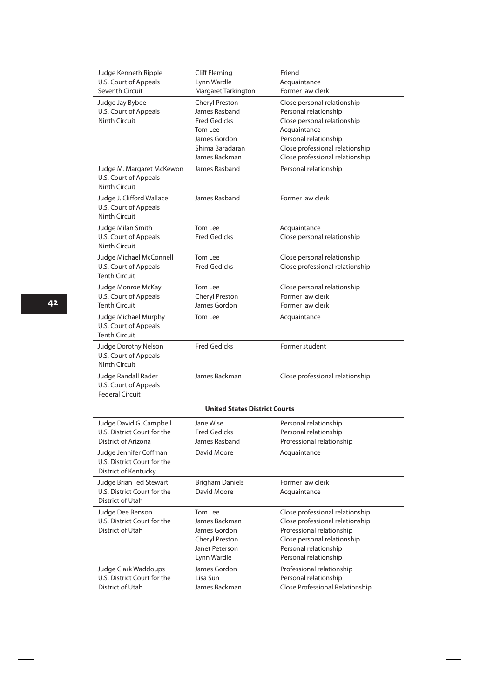| Judge Kenneth Ripple                                                | Cliff Fleming                         | Friend                                               |  |  |
|---------------------------------------------------------------------|---------------------------------------|------------------------------------------------------|--|--|
| U.S. Court of Appeals                                               | Lynn Wardle                           | Acquaintance                                         |  |  |
| Seventh Circuit                                                     | Margaret Tarkington                   | Former law clerk                                     |  |  |
| Judge Jay Bybee                                                     | <b>Cheryl Preston</b>                 | Close personal relationship                          |  |  |
| U.S. Court of Appeals<br><b>Ninth Circuit</b>                       | James Rasband<br><b>Fred Gedicks</b>  | Personal relationship<br>Close personal relationship |  |  |
|                                                                     | Tom Lee                               | Acquaintance                                         |  |  |
|                                                                     | James Gordon                          | Personal relationship                                |  |  |
|                                                                     | Shima Baradaran                       | Close professional relationship                      |  |  |
|                                                                     | James Backman                         | Close professional relationship                      |  |  |
| Judge M. Margaret McKewon<br>U.S. Court of Appeals<br>Ninth Circuit | James Rasband                         | Personal relationship                                |  |  |
| Judge J. Clifford Wallace<br>U.S. Court of Appeals<br>Ninth Circuit | James Rasband                         | Former law clerk                                     |  |  |
| Judge Milan Smith                                                   | Tom Lee                               | Acquaintance                                         |  |  |
| U.S. Court of Appeals                                               | <b>Fred Gedicks</b>                   | Close personal relationship                          |  |  |
| Ninth Circuit                                                       |                                       |                                                      |  |  |
| Judge Michael McConnell                                             | Tom Lee                               | Close personal relationship                          |  |  |
| U.S. Court of Appeals                                               | <b>Fred Gedicks</b>                   | Close professional relationship                      |  |  |
| <b>Tenth Circuit</b>                                                |                                       |                                                      |  |  |
| Judge Monroe McKay                                                  | Tom Lee                               | Close personal relationship                          |  |  |
| U.S. Court of Appeals                                               | Cheryl Preston                        | Former law clerk                                     |  |  |
| <b>Tenth Circuit</b>                                                | James Gordon                          | Former law clerk                                     |  |  |
| Judge Michael Murphy<br>U.S. Court of Appeals                       | Tom Lee                               | Acquaintance                                         |  |  |
| <b>Tenth Circuit</b>                                                |                                       |                                                      |  |  |
| Judge Dorothy Nelson                                                | <b>Fred Gedicks</b>                   | Former student                                       |  |  |
| U.S. Court of Appeals                                               |                                       |                                                      |  |  |
| <b>Ninth Circuit</b>                                                |                                       |                                                      |  |  |
| Judge Randall Rader                                                 | James Backman                         | Close professional relationship                      |  |  |
| U.S. Court of Appeals                                               |                                       |                                                      |  |  |
| <b>Federal Circuit</b>                                              |                                       |                                                      |  |  |
| <b>United States District Courts</b>                                |                                       |                                                      |  |  |
| Judge David G. Campbell                                             | Jane Wise                             | Personal relationship                                |  |  |
| U.S. District Court for the                                         | <b>Fred Gedicks</b>                   | Personal relationship                                |  |  |
| District of Arizona                                                 | James Rasband                         | Professional relationship                            |  |  |
| Judge Jennifer Coffman                                              | David Moore                           | Acquaintance                                         |  |  |
| U.S. District Court for the<br><b>District of Kentucky</b>          |                                       |                                                      |  |  |
|                                                                     |                                       |                                                      |  |  |
| Judge Brian Ted Stewart<br>U.S. District Court for the              | <b>Brigham Daniels</b><br>David Moore | Former law clerk<br>Acquaintance                     |  |  |
| District of Utah                                                    |                                       |                                                      |  |  |
| Judge Dee Benson                                                    | Tom Lee                               | Close professional relationship                      |  |  |
| U.S. District Court for the                                         | James Backman                         | Close professional relationship                      |  |  |
| District of Utah                                                    | James Gordon                          | Professional relationship                            |  |  |
|                                                                     | Cheryl Preston                        | Close personal relationship                          |  |  |
|                                                                     | Janet Peterson                        | Personal relationship                                |  |  |
|                                                                     | Lynn Wardle                           | Personal relationship                                |  |  |
| Judge Clark Waddoups                                                | James Gordon                          | Professional relationship                            |  |  |
| U.S. District Court for the                                         | Lisa Sun                              | Personal relationship                                |  |  |
| District of Utah                                                    | James Backman                         | Close Professional Relationship                      |  |  |

I

I

 $\begin{array}{c} \begin{array}{c} \begin{array}{c} \end{array} \end{array} \end{array}$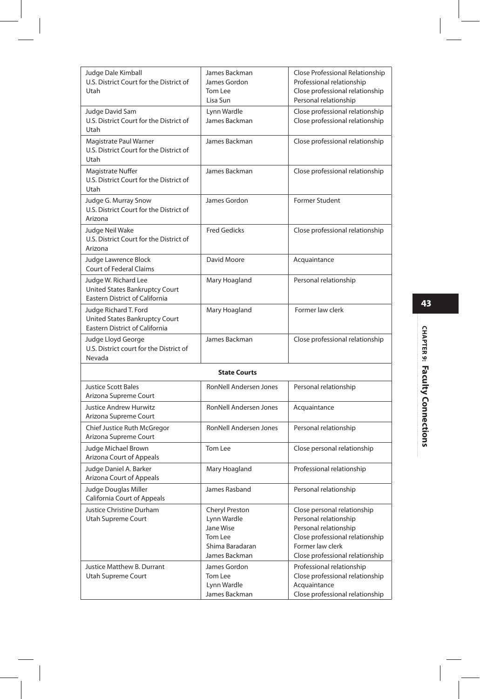| Judge Dale Kimball<br>U.S. District Court for the District of<br>Utah                     | James Backman<br>James Gordon<br>Tom Lee<br>Lisa Sun                                      | Close Professional Relationship<br>Professional relationship<br>Close professional relationship<br>Personal relationship                                                |  |  |
|-------------------------------------------------------------------------------------------|-------------------------------------------------------------------------------------------|-------------------------------------------------------------------------------------------------------------------------------------------------------------------------|--|--|
| Judge David Sam<br>U.S. District Court for the District of<br>Utah                        | Lynn Wardle<br>James Backman                                                              | Close professional relationship<br>Close professional relationship                                                                                                      |  |  |
| Magistrate Paul Warner<br>U.S. District Court for the District of<br>Utah                 | James Backman                                                                             | Close professional relationship                                                                                                                                         |  |  |
| Magistrate Nuffer<br>U.S. District Court for the District of<br>Utah                      | James Backman                                                                             | Close professional relationship                                                                                                                                         |  |  |
| Judge G. Murray Snow<br>U.S. District Court for the District of<br>Arizona                | James Gordon                                                                              | <b>Former Student</b>                                                                                                                                                   |  |  |
| Judge Neil Wake<br>U.S. District Court for the District of<br>Arizona                     | <b>Fred Gedicks</b>                                                                       | Close professional relationship                                                                                                                                         |  |  |
| Judge Lawrence Block<br><b>Court of Federal Claims</b>                                    | David Moore                                                                               | Acquaintance                                                                                                                                                            |  |  |
| Judge W. Richard Lee<br>United States Bankruptcy Court<br>Eastern District of California  | Mary Hoagland                                                                             | Personal relationship                                                                                                                                                   |  |  |
| Judge Richard T. Ford<br>United States Bankruptcy Court<br>Eastern District of California | Mary Hoagland                                                                             | Former law clerk                                                                                                                                                        |  |  |
| Judge Lloyd George<br>U.S. District court for the District of<br>Nevada                   | James Backman                                                                             | Close professional relationship                                                                                                                                         |  |  |
| <b>State Courts</b>                                                                       |                                                                                           |                                                                                                                                                                         |  |  |
| <b>Justice Scott Bales</b><br>Arizona Supreme Court                                       | <b>RonNell Andersen Jones</b>                                                             | Personal relationship                                                                                                                                                   |  |  |
| Justice Andrew Hurwitz<br>Arizona Supreme Court                                           | RonNell Andersen Jones                                                                    | Acquaintance                                                                                                                                                            |  |  |
| Chief Justice Ruth McGregor<br>Arizona Supreme Court                                      | RonNell Andersen Jones                                                                    | Personal relationship                                                                                                                                                   |  |  |
| Judge Michael Brown<br>Arizona Court of Appeals                                           | Tom Lee                                                                                   | Close personal relationship                                                                                                                                             |  |  |
| Judge Daniel A. Barker<br>Arizona Court of Appeals                                        | Mary Hoagland                                                                             | Professional relationship                                                                                                                                               |  |  |
| Judge Douglas Miller<br>California Court of Appeals                                       | James Rasband                                                                             | Personal relationship                                                                                                                                                   |  |  |
| Justice Christine Durham<br>Utah Supreme Court                                            | Cheryl Preston<br>Lynn Wardle<br>Jane Wise<br>Tom Lee<br>Shima Baradaran<br>James Backman | Close personal relationship<br>Personal relationship<br>Personal relationship<br>Close professional relationship<br>Former law clerk<br>Close professional relationship |  |  |
| Justice Matthew B. Durrant<br>Utah Supreme Court                                          | James Gordon<br>Tom Lee<br>Lynn Wardle<br>James Backman                                   | Professional relationship<br>Close professional relationship<br>Acquaintance<br>Close professional relationship                                                         |  |  |

## снартев 9: Faculty Connections **CHAPTER 9: Faculty Connections**

ŧ

**43**